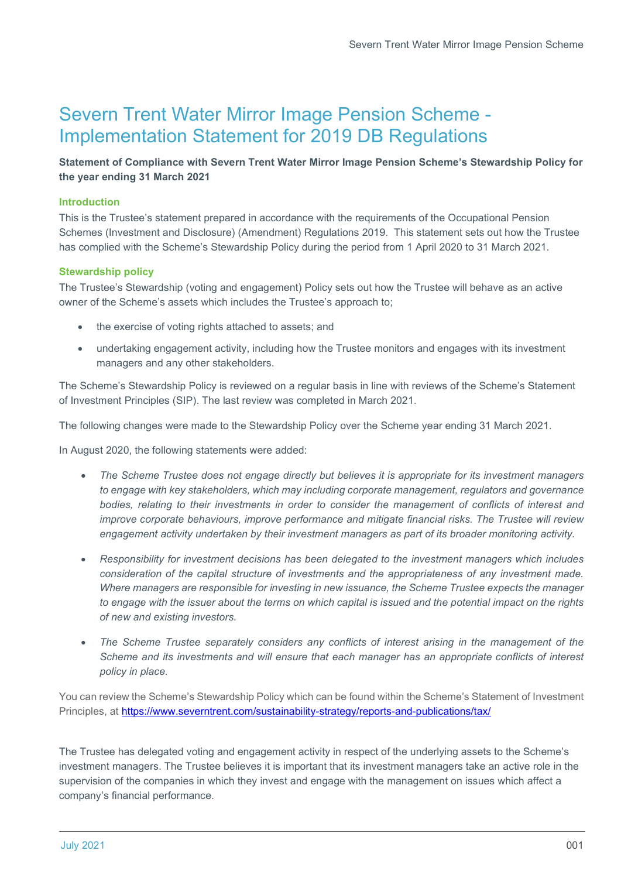# Severn Trent Water Mirror Image Pension Scheme - Implementation Statement for 2019 DB Regulations

# Statement of Compliance with Severn Trent Water Mirror Image Pension Scheme's Stewardship Policy for the year ending 31 March 2021

## Introduction

This is the Trustee's statement prepared in accordance with the requirements of the Occupational Pension Schemes (Investment and Disclosure) (Amendment) Regulations 2019. This statement sets out how the Trustee has complied with the Scheme's Stewardship Policy during the period from 1 April 2020 to 31 March 2021.

### Stewardship policy

The Trustee's Stewardship (voting and engagement) Policy sets out how the Trustee will behave as an active owner of the Scheme's assets which includes the Trustee's approach to;

- the exercise of voting rights attached to assets; and
- undertaking engagement activity, including how the Trustee monitors and engages with its investment managers and any other stakeholders.

The Scheme's Stewardship Policy is reviewed on a regular basis in line with reviews of the Scheme's Statement of Investment Principles (SIP). The last review was completed in March 2021.

The following changes were made to the Stewardship Policy over the Scheme year ending 31 March 2021.

In August 2020, the following statements were added:

- The Scheme Trustee does not engage directly but believes it is appropriate for its investment managers to engage with key stakeholders, which may including corporate management, regulators and governance bodies, relating to their investments in order to consider the management of conflicts of interest and improve corporate behaviours, improve performance and mitigate financial risks. The Trustee will review engagement activity undertaken by their investment managers as part of its broader monitoring activity.
- Responsibility for investment decisions has been delegated to the investment managers which includes consideration of the capital structure of investments and the appropriateness of any investment made. Where managers are responsible for investing in new issuance, the Scheme Trustee expects the manager to engage with the issuer about the terms on which capital is issued and the potential impact on the rights of new and existing investors.
- The Scheme Trustee separately considers any conflicts of interest arising in the management of the Scheme and its investments and will ensure that each manager has an appropriate conflicts of interest policy in place.

You can review the Scheme's Stewardship Policy which can be found within the Scheme's Statement of Investment Principles, at https://www.severntrent.com/sustainability-strategy/reports-and-publications/tax/

The Trustee has delegated voting and engagement activity in respect of the underlying assets to the Scheme's investment managers. The Trustee believes it is important that its investment managers take an active role in the supervision of the companies in which they invest and engage with the management on issues which affect a company's financial performance.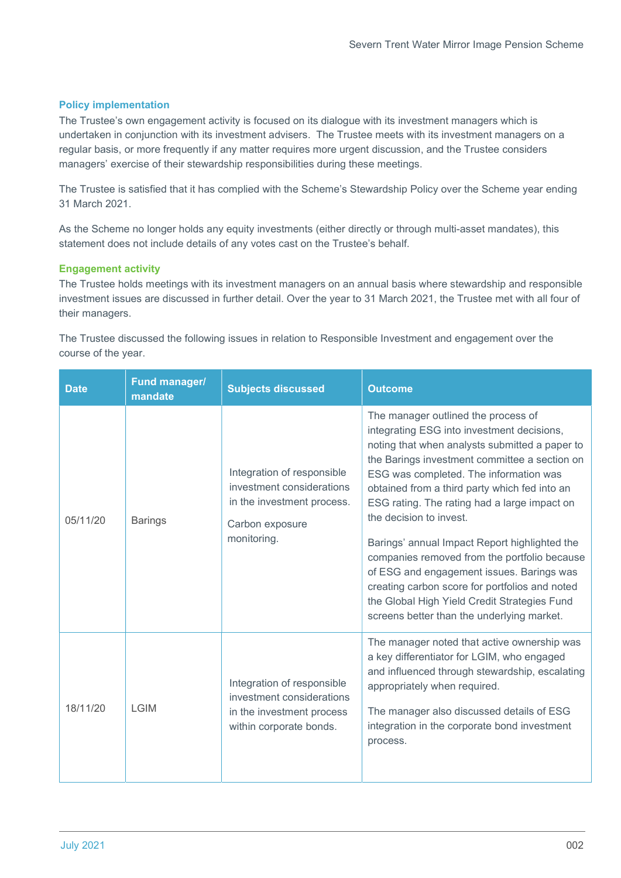#### Policy implementation

The Trustee's own engagement activity is focused on its dialogue with its investment managers which is undertaken in conjunction with its investment advisers. The Trustee meets with its investment managers on a regular basis, or more frequently if any matter requires more urgent discussion, and the Trustee considers managers' exercise of their stewardship responsibilities during these meetings.

The Trustee is satisfied that it has complied with the Scheme's Stewardship Policy over the Scheme year ending 31 March 2021.

As the Scheme no longer holds any equity investments (either directly or through multi-asset mandates), this statement does not include details of any votes cast on the Trustee's behalf.

## Engagement activity

The Trustee holds meetings with its investment managers on an annual basis where stewardship and responsible investment issues are discussed in further detail. Over the year to 31 March 2021, the Trustee met with all four of their managers.

The Trustee discussed the following issues in relation to Responsible Investment and engagement over the course of the year.

| <b>Date</b> | Fund manager/<br>mandate | <b>Subjects discussed</b>                                                                                               | <b>Outcome</b>                                                                                                                                                                                                                                                                                                                                                                                                                                                                                                                                                                                                                                           |
|-------------|--------------------------|-------------------------------------------------------------------------------------------------------------------------|----------------------------------------------------------------------------------------------------------------------------------------------------------------------------------------------------------------------------------------------------------------------------------------------------------------------------------------------------------------------------------------------------------------------------------------------------------------------------------------------------------------------------------------------------------------------------------------------------------------------------------------------------------|
| 05/11/20    | <b>Barings</b>           | Integration of responsible<br>investment considerations<br>in the investment process.<br>Carbon exposure<br>monitoring. | The manager outlined the process of<br>integrating ESG into investment decisions,<br>noting that when analysts submitted a paper to<br>the Barings investment committee a section on<br>ESG was completed. The information was<br>obtained from a third party which fed into an<br>ESG rating. The rating had a large impact on<br>the decision to invest.<br>Barings' annual Impact Report highlighted the<br>companies removed from the portfolio because<br>of ESG and engagement issues. Barings was<br>creating carbon score for portfolios and noted<br>the Global High Yield Credit Strategies Fund<br>screens better than the underlying market. |
| 18/11/20    | <b>LGIM</b>              | Integration of responsible<br>investment considerations<br>in the investment process<br>within corporate bonds.         | The manager noted that active ownership was<br>a key differentiator for LGIM, who engaged<br>and influenced through stewardship, escalating<br>appropriately when required.<br>The manager also discussed details of ESG<br>integration in the corporate bond investment<br>process.                                                                                                                                                                                                                                                                                                                                                                     |